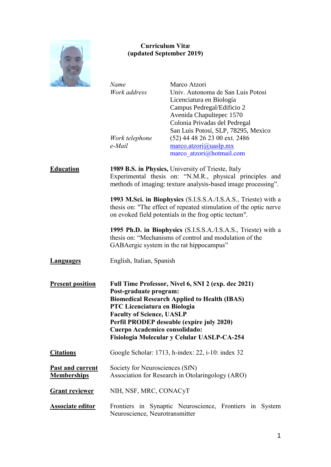

# **Curriculum Vitæ (updated September 2019)**

*Name* Marco Atzori *Work address* Univ. Autonoma de San Luis Potosi Licenciatura en Biología Campus Pedregal/Edificio 2 Avenida Chapultepec 1570 Colonia Privadas del Pedregal San Luis Potosí, SLP, 78295, Mexico *Work telephone* (52) 44 48 26 23 00 ext. 2486 *e-Mail* [marco.atzori@uaslp.mx](mailto:marco.atzori@uaslp.mx) marco atzori@hotmail.com **Education 1989 B.S. in Physics,** University of Trieste, Italy Experimental thesis on: "N.M.R., physical principles and methods of imaging: texture analysis-based image processing". **1993 M.Sci. in Biophysics** (S.I.S.S.A./I.S.A.S., Trieste) with a thesis on: "The effect of repeated stimulation of the optic nerve on evoked field potentials in the frog optic tectum". **1995 Ph.D. in Biophysics** (S.I.S.S.A./I.S.A.S., Trieste) with a thesis on: "Mechanisms of control and modulation of the GABAergic system in the rat hippocampus" Languages English, Italian, Spanish **Present position Full Time Professor, Nivel 6, SNI 2 (exp. dec 2021) Post-graduate program: Biomedical Research Applied to Health (IBAS) PTC Licenciatura en Biologia Faculty of Science, UASLP Perfil PRODEP deseable (expire july 2020) Cuerpo Academico consolidado: Fisiologia Molecular y Celular UASLP-CA-254 Citations** Google Scholar: 1713, h-index: 22, i-10: index 32 **Past and current** Society for Neurosciences (SfN) **Memberships** Association for Research in Otolaringology (ARO) Grant reviewer NIH, NSF, MRC, CONACyT **Associate editor** Frontiers in Synaptic Neuroscience, Frontiers in System Neuroscience, Neurotransmitter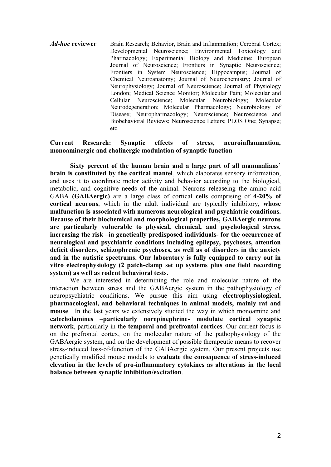*Ad-hoc* **reviewer** Brain Research; Behavior, Brain and Inflammation; Cerebral Cortex; Developmental Neuroscience; Environmental Toxicology and Pharmacology; Experimental Biology and Medicine; European Journal of Neuroscience; Frontiers in Synaptic Neuroscience; Frontiers in System Neuroscience; Hippocampus; Journal of Chemical Neuroanatomy; Journal of Neurochemistry; Journal of Neurophysiology; Journal of Neuroscience; Journal of Physiology London; Medical Science Monitor; Molecular Pain; Molecular and Cellular Neuroscience; Molecular Neurobiology; Molecular Neurodegeneration; Molecular Pharmacology; Neurobiology of Disease; Neuropharmacology; Neuroscience; Neuroscience and Biobehavioral Reviews; Neuroscience Letters; PLOS One; Synapse; etc.

## **Current Research: Synaptic effects of stress, neuroinflammation, monoaminergic and cholinergic modulation of synaptic function**

**Sixty percent of the human brain and a large part of all mammalians' brain is constituted by the cortical mantel**, which elaborates sensory information, and uses it to coordinate motor activity and behavior according to the biological, metabolic, and cognitive needs of the animal. Neurons releaseing the amino acid GABA **(GABAergic)** are a large class of cortical **cells** comprising of **4-20% of cortical neurons**, which in the adult individual are typically inhibitory, **whose malfunction is associated with numerous neurological and psychiatric conditions. Because of their biochemical and morphological properties, GABAergic neurons are particularly vulnerable to physical, chemical, and psychological stress, increasing the risk –in genetically predisposed individuals- for the occurrence of neurological and psychiatric conditions including epilepsy, psychoses, attention deficit disorders, schizophrenic psychoses, as well as of disorders in the anxiety and in the autistic spectrums. Our laboratory is fully equipped to carry out in vitro electrophysiology (2 patch-clamp set up systems plus one field recording system) as well as rodent behavioral tests.**

We are interested in determining the role and molecular nature of the interaction between stress and the GABAergic system in the pathophysiology of neuropsychiatric conditions. We pursue this aim using **electrophysiological, pharmacological, and behavioral techniques in animal models, mainly rat and mouse**. In the last years we extensively studied the way in which monoamine and **catecholamines –particularly norepinephrine- modulate cortical synaptic network**, particularly in the **temporal and prefrontal cortices**. Our current focus is on the prefrontal cortex, on the molecular nature of the pathophysiology of the GABAergic system, and on the development of possible therapeutic means to recover stress-induced loss-of-function of the GABAergic system. Our present projects use genetically modified mouse models to **evaluate the consequence of stress-induced elevation in the levels of pro-inflammatory cytokines as alterations in the local balance between synaptic inhibition/excitation**.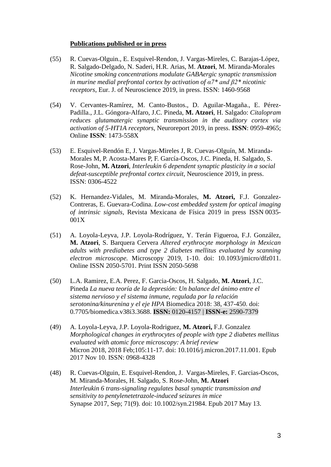#### **Publications published or in press**

- (55) R. Cuevas-Olguin., E. Esquivel-Rendon, J. Vargas-Mireles, C. Barajas-Lόpez, R. Salgado-Delgado, N. Saderi, H.R. Arias, M. **Atzori**, M. Miranda-Morales *Nicotine smoking concentrations modulate GABAergic synaptic transmission in murine medial prefrontal cortex by activation of α7\* and β2\* nicotinic receptors*, Eur. J. of Neuroscience 2019, in press. ISSN: 1460-9568
- (54) V. Cervantes-Ramírez, M. Canto-Bustos., D. Aguilar-Magaña., E. Pérez-Padilla., J.L. Góngora-Alfaro, J.C. Pineda, **M. Atzori**, H. Salgado: *Citalopram reduces glutamatergic synaptic transmission in the auditory cortex via activation of 5-HT1A receptors*, Neuroreport 2019, in press. **ISSN**: 0959-4965; Online **ISSN**: 1473-558X
- (53) E. Esquivel-Rendón E, J. Vargas-Mireles J, R. Cuevas-Olguín, M. Miranda-Morales M, P. Acosta-Mares P, F. García-Oscos, J.C. Pineda, H. Salgado, S. Rose-John, **M. Atzori**, *Interleukin 6 dependent synaptic plasticity in a social defeat-susceptible prefrontal cortex circuit*, Neuroscience 2019, in press. ISSN: 0306-4522
- (52) K. Hernandez-Vidales, M. Miranda-Morales, **M. Atzori,** F.J. Gonzalez-Contreras, E. Guevara-Codina. *Low-cost embedded system for optical imaging of intrinsic signals*, Revista Mexicana de Física 2019 in press ISSN 0035- 001X
- (51) A. Loyola-Leyva, J.P. Loyola-Rodríguez, Y. Terán Figueroa, F.J. González, **M. Atzori**, S. Barquera Cervera *Altered erythrocyte morphology in Mexican adults with prediabetes and type 2 diabetes mellitus evaluated by scanning electron microscope.* Microscopy 2019, 1-10. doi: 10.1093/jmicro/dfz011. Online ISSN 2050-5701. Print ISSN 2050-5698
- (50) L.A. Ramirez, E.A. Perez, F. Garcia-Oscos, H. Salgado, **M. Atzori**, J.C. Pineda *[La nueva teoría de la depresión: Un balance del ánimo entre el](https://www.revistabiomedica.org/index.php/biomedica/article/view/3688)  [sistema nervioso y el sistema inmune, regulada por la relación](https://www.revistabiomedica.org/index.php/biomedica/article/view/3688) [serotonina/kinurenina y el eje HPA](https://www.revistabiomedica.org/index.php/biomedica/article/view/3688)* Biomedica 2018: 38, 437-450. doi: 0.7705/biomedica.v38i3.3688. **ISSN:** 0120-4157 | **ISSN-e:** 2590-7379
- (49) A. Loyola-Leyva, J.P. Loyola-Rodriguez, **M. Atzori,** F.J. Gonzalez *Morphological changes in erythrocytes of people with type 2 diabetes mellitus evaluated with atomic force microscopy: A brief review* Micron 2018, 2018 Feb;105:11-17. doi: 10.1016/j.micron.2017.11.001. Epub 2017 Nov 10. ISSN: 0968-4328
- (48) R. Cuevas-Olguin, E. Esquivel-Rendon, J. Vargas-Mireles, F. Garcias-Oscos, M. Miranda-Morales, H. Salgado, S. Rose-John, **M. Atzori** *Interleukin 6 trans-signaling regulates basal synaptic transmission and sensitivity to pentylenetetrazole-induced seizures in mice* Synapse 2017, Sep; 71(9). doi: 10.1002/syn.21984. Epub 2017 May 13.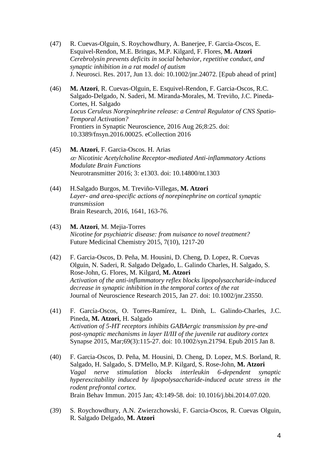- (47) R. Cuevas-Olguin, S. Roychowdhury, A. Banerjee, F. Garcia-Oscos, E. Esquivel-Rendon, M.E. Bringas, M.P. Kilgard, F. Flores, **M. Atzori** *Cerebrolysin prevents deficits in social behavior, repetitive conduct, and synaptic inhibition in a rat model of autism* J. Neurosci. Res. 2017, Jun 13. doi: 10.1002/jnr.24072. [Epub ahead of print]
- (46) **M. Atzori**, R. Cuevas-Olguin, E. Esquivel-Rendon, F. Garcia-Oscos, R.C. Salgado-Delgado, N. Saderi, M. Miranda-Morales, M. Treviño, J.C. Pineda-Cortes, H. Salgado *Locus Ceruleus Norepinephrine release: a Central Regulator of CNS Spatio-Temporal Activation?* Frontiers in Synaptic Neuroscience, 2016 Aug 26;8:25. doi: 10.3389/fnsyn.2016.00025. eCollection 2016
- (45) **M. Atzori**, F. Garcia-Oscos. H. Arias *<sup>7</sup> Nicotinic Acetylcholine Receptor-mediated Anti-inflammatory Actions Modulate Brain Functions* Neurotransmitter 2016; 3: e1303. doi: 10.14800/nt.1303
- (44) H.Salgado Burgos, M. Treviño-Villegas, **M. Atzori** *Layer- and area-specific actions of norepinephrine on cortical synaptic transmission* Brain Research, 2016, 1641, 163-76.
- (43) **M. Atzori**, M. Mejia-Torres *Nicotine for psychiatric disease: from nuisance to novel treatment?* Future Medicinal Chemistry 2015, 7(10), 1217-20
- (42) F. Garcia-Oscos, D. Peña, M. Housini, D. Cheng, D. Lopez, R. Cuevas Olguin, N. Saderi, R. Salgado Delgado, L. Galindo Charles, H. Salgado, S. Rose-John, G. Flores, M. Kilgard, **M. Atzori** *Activation of the anti-inflammatory reflex blocks lipopolysaccharide-induced decrease in synaptic inhibition in the temporal cortex of the rat* Journal of Neuroscience Research 2015, Jan 27. doi: 10.1002/jnr.23550.
- (41) F. García-Oscos, O. Torres-Ramírez, L. Dinh, L. Galindo-Charles, J.C. Pineda, **M. Atzori**, H. Salgado *Activation of 5-HT receptors inhibits GABAergic transmission by pre-and post-synaptic mechanisms in layer II/III of the juvenile rat auditory cortex* Synapse 2015, Mar;69(3):115-27. doi: 10.1002/syn.21794. Epub 2015 Jan 8.
- (40) F. Garcia-Oscos, D. Peña, M. Housini, D. Cheng, D. Lopez, M.S. Borland, R. Salgado, H. Salgado, S. D'Mello, M.P. Kilgard, S. Rose-John, **M. Atzori** *[Vagal nerve stimulation blocks interleukin 6-dependent synaptic](http://www.ncbi.nlm.nih.gov/pubmed/25128387)  [hyperexcitability induced by lipopolysaccharide-induced acute stress in the](http://www.ncbi.nlm.nih.gov/pubmed/25128387)  [rodent prefrontal cortex.](http://www.ncbi.nlm.nih.gov/pubmed/25128387)* Brain Behav Immun. 2015 Jan; 43:149-58. doi: 10.1016/j.bbi.2014.07.020.
- (39) S. Roychowdhury, A.N. Zwierzchowski, F. Garcia-Oscos, R. Cuevas Olguin, R. Salgado Delgado, **M. Atzori**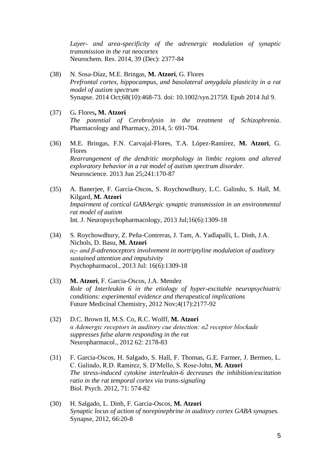*Layer- and area-specificity of the adrenergic modulation of synaptic transmission in the rat neocortex* Neurochem. Res. 2014, 39 (Dec): 2377-84

- (38) N. Sosa-Díaz, M.E. Bringas, **M. Atzori**, G. Flores *Prefrontal cortex, hippocampus, and basolateral amygdala plasticity in a rat model of autism spectrum* Synapse. 2014 Oct;68(10):468-73. doi: 10.1002/syn.21759. Epub 2014 Jul 9.
- (37) G**.** Flores**, M. Atzori** *The potential of Cerebrolysin in the treatment of Schizophrenia*. Pharmacology and Pharmacy, 2014, 5: 691-704.
- (36) M.E. [Bringas,](http://www.ncbi.nlm.nih.gov/pubmed?term=Bringas%20ME%5BAuthor%5D&cauthor=true&cauthor_uid=23535253) F.N. [Carvajal-Flores,](http://www.ncbi.nlm.nih.gov/pubmed?term=Carvajal-Flores%20FN%5BAuthor%5D&cauthor=true&cauthor_uid=23535253) T.A. [López-Ramírez,](http://www.ncbi.nlm.nih.gov/pubmed?term=L%C3%B3pez-Ram%C3%ADrez%20TA%5BAuthor%5D&cauthor=true&cauthor_uid=23535253) **[M. Atzori](http://www.ncbi.nlm.nih.gov/pubmed?term=Atzori%20M%5BAuthor%5D&cauthor=true&cauthor_uid=23535253)**, G. [Flores](http://www.ncbi.nlm.nih.gov/pubmed?term=Flores%20G%5BAuthor%5D&cauthor=true&cauthor_uid=23535253) *Rearrangement of the dendritic morphology in limbic regions and altered exploratory behavior in a rat model of autism spectrum disorder.* [Neuroscience.](http://www.ncbi.nlm.nih.gov/pubmed/?term=atzori+flores) 2013 Jun 25;241:170-87
- (35) A. Banerjee, F. García-Oscos, S. Roychowdhury, L.C. Galindo, S. Hall, M. Kilgard, **M. Atzori** *Impairment of cortical GABAergic synaptic transmission in an environmental rat model of autism* Int. J. Neuropsychopharmacology, 2013 Jul;16(6):1309-18
- (34) S. Roychowdhury, Z. Peña-Contreras, J. Tam, A. Yadlapalli, L. Dinh, J.A. Nichols, D. Basu, **M. Atzori** *α2- and β-adrenoceptors involvement in nortriptyline modulation of auditory sustained attention and impulsivity* Psychopharmacol., 2013 Jul: 16(6):1309-18
- (33) **M. Atzori**, F. Garcia-Oscos, J.A. Mendez *Role of Interleukin 6 in the etiology of hyper-excitable neuropsychiatric conditions: experimental evidence and therapeutical implications* Future Medicinal Chemistry, 2012 Nov;4(17):2177-92
- (32) D.C. Brown II, M.S. Co, R.C. Wolff, **M. Atzori** *α Adenergic receptors in auditory cue detection: α2 receptor blockade suppresses false alarm responding in the rat*  Neuropharmacol., 2012 62: 2178-83
- (31) F. Garcia-Oscos, H. Salgado, S. Hall, F. Thomas, G.E. Farmer, J. Bermeo, L. C. Galindo, R.D. Ramirez, S. D'Mello, S. Rose-John, **M. Atzori** *The stress-induced cytokine interleukin-6 decreases the inhibition/excitation ratio in the rat temporal cortex via trans-signaling* Biol. Psych. 2012, 71: 574-82
- (30) H. Salgado, L. Dinh, F. Garcia-Oscos, **M. Atzori** *Synaptic locus of action of norepinephrine in auditory cortex GABA synapses.* Synapse, 2012, 66:20-8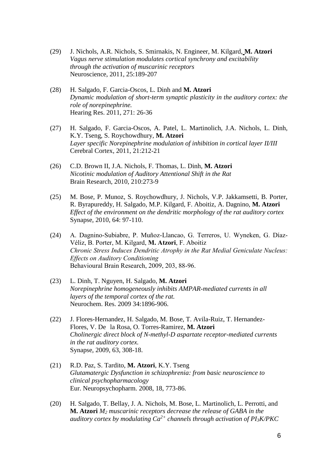- (29) J. Nichols, A.R. Nichols, S. Smirnakis, N. Engineer, M. Kilgard, **M. Atzori** *Vagus nerve stimulation modulates cortical synchrony and excitability through the activation of muscarinic receptors* Neuroscience, 2011, 25:189-207
- (28) H. Salgado, F. Garcia-Oscos, L. Dinh and **M. Atzori** *Dynamic modulation of short-term synaptic plasticity in the auditory cortex: the role of norepinephrine.*  Hearing Res. 2011, 271: 26-36
- (27) H. Salgado, F. Garcia-Oscos, A. Patel, L. Martinolich, J.A. Nichols, L. Dinh, K.Y. Tseng, S. Roychowdhury, **M. Atzori** *Layer specific Norepinephrine modulation of inhibition in cortical layer II/III* Cerebral Cortex, 2011, 21:212-21
- (26) C.D. Brown II, J.A. Nichols, F. Thomas, L. Dinh, **M. Atzori** *Nicotinic modulation of Auditory Attentional Shift in the Rat* Brain Research, 2010, 210:273-9
- (25) M. Bose, P. Munoz, S. Roychowdhury, J. Nichols, V.P. Jakkamsetti, B. Porter, R. Byrapureddy, H. Salgado, M.P. Kilgard, F. Aboitiz, A. Dagnino, **M. Atzori** *Effect of the environment on the dendritic morphology of the rat auditory cortex* Synapse, 2010, 64: 97-110.
- (24) A. Dagnino-Subiabre, P. Muñoz-Llancao, G. Terreros, U. Wyneken, G. Díaz-Véliz, B. Porter, M. Kilgard, **M. Atzori**, F. Aboitiz *Chronic Stress Induces Dendritic Atrophy in the Rat Medial Geniculate Nucleus: Effects on Auditory Conditioning* Behavioural Brain Research, 2009, 203, 88-96.
- (23) L. Dinh, T. Nguyen, H. Salgado, **M. Atzori** *Norepinephrine homogeneously inhibits AMPAR-mediated currents in all layers of the temporal cortex of the rat.* Neurochem. Res. 2009 34:1896-906.
- (22) J. Flores-Hernandez, H. Salgado, M. Bose, T. Avila-Ruiz, T. Hernandez-Flores, V. De la Rosa, O. Torres-Ramirez, **M. Atzori** *Cholinergic direct block of N-methyl-D aspartate receptor-mediated currents in the rat auditory cortex.* Synapse, 2009, 63, 308-18.
- (21) R.D. Paz, S. Tardito, **M. Atzori**, K.Y. Tseng *Glutamatergic Dysfunction in schizophrenia: from basic neuroscience to clinical psychopharmacology* Eur. Neuropsychopharm. 2008, 18, 773-86.
- (20) H. Salgado, T. Bellay, J. A. Nichols, M. Bose, L. Martinolich, L. Perrotti, and **M. Atzori** *M<sup>2</sup> muscarinic receptors decrease the release of GABA in the auditory cortex by modulating Ca2+ channels through activation of PI3K/PKC*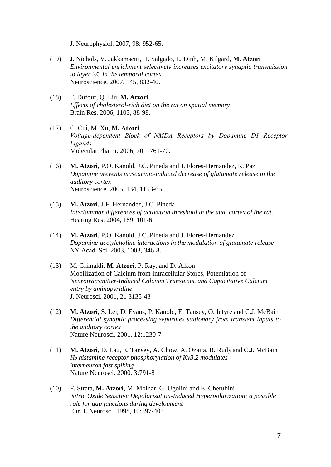J. Neurophysiol. 2007, 98: 952-65.

- (19) J. Nichols, V. Jakkamsetti, H. Salgado, L. Dinh, M. Kilgard, **M. Atzori** *Environmental enrichment selectively increases excitatory synaptic transmission to layer 2/3 in the temporal cortex* Neuroscience, 2007, 145, 832-40.
- (18) F. Dufour, Q. Liu, **M. Atzori** *Effects of cholesterol-rich diet on the rat on spatial memory* Brain Res. 2006, 1103, 88-98.
- (17) C. Cui, M. Xu, **M. Atzori** *Voltage-dependent Block of NMDA Receptors by Dopamine D1 Receptor Ligands* Molecular Pharm. 2006, 70, 1761-70.
- (16) **M. Atzori**, P.O. Kanold, J.C. Pineda and J. Flores-Hernandez, R. Paz *Dopamine prevents muscarinic-induced decrease of glutamate release in the auditory cortex* Neuroscience, 2005, 134, 1153-65.
- (15) **M. Atzori**, J.F. Hernandez, J.C. Pineda *Interlaminar differences of activation threshold in the aud. cortex of the rat.* Hearing Res. 2004, 189, 101-6.
- (14) **M. Atzori**, P.O. Kanold, J.C. Pineda and J. Flores-Hernandez *Dopamine-acetylcholine interactions in the modulation of glutamate release* NY Acad. Sci. 2003, 1003, 346-8.
- (13) M. Grimaldi, **M. Atzori**, P. Ray, and D. Alkon Mobilization of Calcium from Intracellular Stores, Potentiation of *Neurotransmitter-Induced Calcium Transients, and Capacitative Calcium entry by aminopyridine* J. Neurosci. 2001, 21 3135-43
- (12) **M. Atzori**, S. Lei, D. Evans, P. Kanold, E. Tansey, O. Intyre and C.J. McBain *Differential synaptic processing separates stationary from transient inputs to the auditory cortex*  Nature Neurosci. 2001, 12:1230-7
- (11) **M. Atzori**, D. Lau, E. Tansey, A. Chow, A. Ozaita, B. Rudy and C.J. McBain *H<sup>2</sup> histamine receptor phosphorylation of Kv3.2 modulates interneuron fast spiking*  Nature Neurosci. 2000, 3:791-8
- (10) F. Strata, **M. Atzori**, M. Molnar, G. Ugolini and E. Cherubini *Nitric Oxide Sensitive Depolarization-Induced Hyperpolarization: a possible role for gap junctions during development* Eur. J. Neurosci. 1998, 10:397-403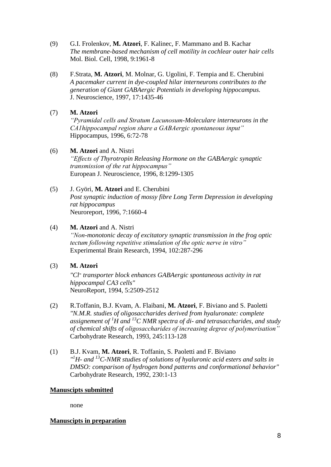- (9) G.I. Frolenkov, **M. Atzori**, F. Kalinec, F. Mammano and B. Kachar *The membrane-based mechanism of cell motility in cochlear outer hair cells* Mol. Biol. Cell, 1998, 9:1961-8
- (8) F.Strata, **M. Atzori**, M. Molnar, G. Ugolini, F. Tempia and E. Cherubini *A pacemaker current in dye-coupled hilar interneurons contributes to the generation of Giant GABAergic Potentials in developing hippocampus.* J. Neuroscience, 1997, 17:1435-46
- (7) **M. Atzori** *"Pyramidal cells and Stratum Lacunosum-Moleculare interneurons in the CA1hippocampal region share a GABAergic spontaneous input"* Hippocampus, 1996, 6:72-78

## (6) **M. Atzori** and A. Nistri

*"Effects of Thyrotropin Releasing Hormone on the GABAergic synaptic transmission of the rat hippocampus"* European J. Neuroscience, 1996, 8:1299-1305

(5) J. Györi, **M. Atzori** and E. Cherubini *Post synaptic induction of mossy fibre Long Term Depression in developing rat hippocampus* Neuroreport, 1996, 7:1660-4

## (4) **M. Atzori** and A. Nistri

*"Non-monotonic decay of excitatory synaptic transmission in the frog optic tectum following repetitive stimulation of the optic nerve in vitro"* Experimental Brain Research, 1994, 102:287-296

(3) **M. Atzori**

*"Cl-transporter block enhances GABAergic spontaneous activity in rat hippocampal CA3 cells"* NeuroReport, 1994, 5:2509-2512

- (2) R.Toffanin, B.J. Kvam, A. Flaibani, **M. Atzori**, F. Biviano and S. Paoletti *"N.M.R. studies of oligosaccharides derived from hyaluronate: complete assignement of <sup>1</sup>H and <sup>13</sup>C NMR spectra of di- and tetrasaccharides, and study of chemical shifts of oligosaccharides of increasing degree of polymerisation"* Carbohydrate Research, 1993, 245:113-128
- (1) B.J. Kvam, **M. Atzori**, R. Toffanin, S. Paoletti and F. Biviano *" <sup>1</sup>H- and <sup>13</sup>C-NMR studies of solutions of hyaluronic acid esters and salts in DMSO: comparison of hydrogen bond patterns and conformational behavior"* Carbohydrate Research, 1992, 230:1-13

### **Manuscipts submitted**

none

### **Manuscipts in preparation**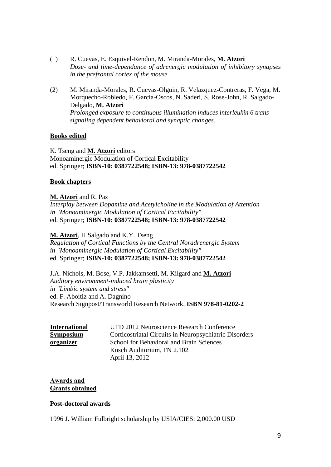- (1) R. Cuevas, E. Esquivel-Rendon, M. Miranda-Morales, **M. Atzori** *Dose- and time-dependance of adrenergic modulation of inhibitory synapses in the prefrontal cortex of the mouse*
- (2) M. Miranda-Morales, R. Cuevas-Olguin, R. Velazquez-Contreras, F. Vega, M. Morquecho-Robledo, F. Garcia-Oscos, N. Saderi, S. Rose-John, R. Salgado-Delgado, **M. Atzori** *Prolonged exposure to continuous illumination induces interleukin 6 transsignaling dependent behavioral and synaptic changes.*

### **Books edited**

K. Tseng and **M. Atzori** editors Monoaminergic Modulation of Cortical Excitability ed. Springer; **ISBN-10: 0387722548; ISBN-13: 978-0387722542**

### **Book chapters**

## **M. Atzori** and R. Paz

*Interplay between Dopamine and Acetylcholine in the Modulation of Attention in "Monoaminergic Modulation of Cortical Excitability"* ed. Springer; **ISBN-10: 0387722548; ISBN-13: 978-0387722542**

### **M. Atzori**, H Salgado and K.Y. Tseng

*Regulation of Cortical Functions by the Central Noradrenergic System in "Monoaminergic Modulation of Cortical Excitability"* ed. Springer; **ISBN-10: 0387722548; ISBN-13: 978-0387722542**

J.A. Nichols, M. Bose, V.P. Jakkamsetti, M. Kilgard and **M. Atzori** *Auditory environment-induced brain plasticity in "Limbic system and stress"* ed. F. Aboitiz and A. Dagnino Research Signpost/Transworld Research Network, **ISBN 978-81-0202-2**

| <b>International</b> | UTD 2012 Neuroscience Research Conference              |
|----------------------|--------------------------------------------------------|
| <b>Symposium</b>     | Corticostriatal Circuits in Neuropsychiatric Disorders |
| organizer            | School for Behavioral and Brain Sciences               |
|                      | Kusch Auditorium, FN 2.102                             |
|                      | April 13, 2012                                         |

### **Awards and Grants obtained**

### **Post-doctoral awards**

1996 J. William Fulbright scholarship by USIA/CIES: 2,000.00 USD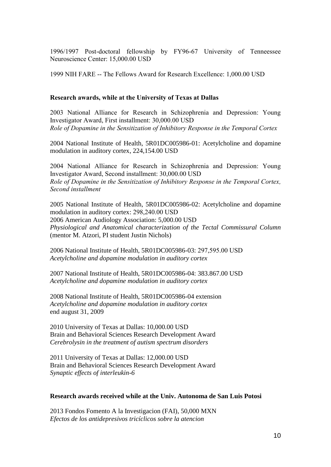1996/1997 Post-doctoral fellowship by FY96-67 University of Tenneessee Neuroscience Center: 15,000.00 USD

1999 NIH FARE -- The Fellows Award for Research Excellence: 1,000.00 USD

### **Research awards, while at the University of Texas at Dallas**

2003 National Alliance for Research in Schizophrenia and Depression: Young Investigator Award, First installment: 30,000.00 USD *Role of Dopamine in the Sensitization of Inhibitory Response in the Temporal Cortex*

2004 National Institute of Health, 5R01DC005986-01: Acetylcholine and dopamine modulation in auditory cortex, 224,154.00 USD

2004 National Alliance for Research in Schizophrenia and Depression: Young Investigator Award, Second installment: 30,000.00 USD *Role of Dopamine in the Sensitization of Inhibitory Response in the Temporal Cortex, Second installment*

2005 National Institute of Health, 5R01DC005986-02: Acetylcholine and dopamine modulation in auditory cortex: 298,240.00 USD 2006 American Audiology Association: 5,000.00 USD *Physiological and Anatomical characterization of the Tectal Commissural Column* (mentor M. Atzori, PI student Justin Nichols)

2006 National Institute of Health, 5R01DC005986-03: 297,595.00 USD *Acetylcholine and dopamine modulation in auditory cortex*

2007 National Institute of Health, 5R01DC005986-04: 383.867.00 USD *Acetylcholine and dopamine modulation in auditory cortex*

2008 National Institute of Health, 5R01DC005986-04 extension *Acetylcholine and dopamine modulation in auditory cortex* end august 31, 2009

2010 University of Texas at Dallas: 10,000.00 USD Brain and Behavioral Sciences Research Development Award *Cerebrolysin in the treatment of autism spectrum disorders*

2011 University of Texas at Dallas: 12,000.00 USD Brain and Behavioral Sciences Research Development Award *Synaptic effects of interleukin-6*

### **Research awards received while at the Univ. Autonoma de San Luis Potosi**

2013 Fondos Fomento A la Investigacion (FAI), 50,000 MXN *Efectos de los antidepresivos tricíclicos sobre la atencion*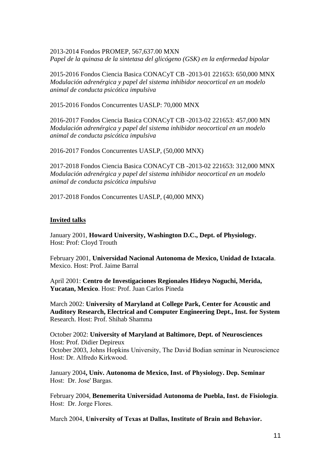2013-2014 Fondos PROMEP, 567,637.00 MXN *Papel de la quinasa de la sintetasa del glicógeno (GSK) en la enfermedad bipolar*

2015-2016 Fondos Ciencia Basica CONACyT CB -2013-01 221653: 650,000 MNX *Modulación adrenérgica y papel del sistema inhibidor neocortical en un modelo animal de conducta psicótica impulsiva*

2015-2016 Fondos Concurrentes UASLP: 70,000 MNX

2016-2017 Fondos Ciencia Basica CONACyT CB -2013-02 221653: 457,000 MN *Modulación adrenérgica y papel del sistema inhibidor neocortical en un modelo animal de conducta psicótica impulsiva*

2016-2017 Fondos Concurrentes UASLP, (50,000 MNX)

2017-2018 Fondos Ciencia Basica CONACyT CB -2013-02 221653: 312,000 MNX *Modulación adrenérgica y papel del sistema inhibidor neocortical en un modelo animal de conducta psicótica impulsiva*

2017-2018 Fondos Concurrentes UASLP, (40,000 MNX)

#### **Invited talks**

January 2001, **Howard University, Washington D.C., Dept. of Physiology.** Host: Prof: Cloyd Trouth

February 2001, **Universidad Nacional Autonoma de Mexico, Unidad de Ixtacala**. Mexico. Host: Prof. Jaime Barral

April 2001: **Centro de Investigaciones Regionales Hideyo Noguchi, Merida, Yucatan, Mexico**. Host: Prof. Juan Carlos Pineda

March 2002: **University of Maryland at College Park, Center for Acoustic and Auditory Research, Electrical and Computer Engineering Dept., Inst. for System** Research. Host: Prof. Shihab Shamma

October 2002: **University of Maryland at Baltimore, Dept. of Neurosciences** Host: Prof. Didier Depireux October 2003, Johns Hopkins University, The David Bodian seminar in Neuroscience Host: Dr. Alfredo Kirkwood.

January 2004**, Univ. Autonoma de Mexico, Inst. of Physiology. Dep. Seminar**  Host: Dr. Jose' Bargas.

February 2004, **Benemerita Universidad Autonoma de Puebla, Inst. de Fisiologia**. Host: Dr. Jorge Flores.

March 2004, **University of Texas at Dallas, Institute of Brain and Behavior.**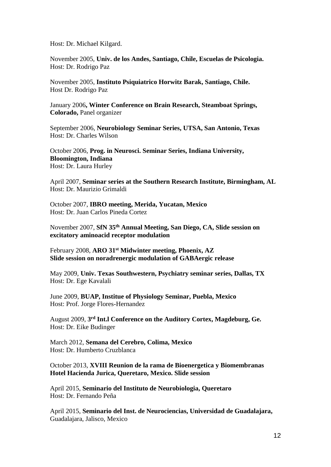Host: Dr. Michael Kilgard.

November 2005, **Univ. de los Andes, Santiago, Chile, Escuelas de Psicologia.** Host: Dr. Rodrigo Paz

November 2005, **Instituto Psiquiatrico Horwitz Barak, Santiago, Chile.** Host Dr. Rodrigo Paz

January 2006**, Winter Conference on Brain Research, Steamboat Springs, Colorado,** Panel organizer

September 2006, **Neurobiology Seminar Series, UTSA, San Antonio, Texas** Host: Dr. Charles Wilson

October 2006, **Prog. in Neurosci. Seminar Series, Indiana University, Bloomington, Indiana** Host: Dr. Laura Hurley

April 2007, **Seminar series at the Southern Research Institute, Birmingham, AL** Host: Dr. Maurizio Grimaldi

October 2007, **IBRO meeting, Merida, Yucatan, Mexico** Host: Dr. Juan Carlos Pineda Cortez

November 2007, **SfN 35th Annual Meeting, San Diego, CA, Slide session on excitatory aminoacid receptor modulation**

February 2008, **ARO 31st Midwinter meeting, Phoenix, AZ Slide session on noradrenergic modulation of GABAergic release**

May 2009, **Univ. Texas Southwestern, Psychiatry seminar series, Dallas, TX** Host: Dr. Ege Kavalali

June 2009, **BUAP, Institue of Physiology Seminar, Puebla, Mexico** Host: Prof. Jorge Flores-Hernandez

August 2009, **3 rd Int.l Conference on the Auditory Cortex, Magdeburg, Ge.** Host: Dr. Eike Budinger

March 2012, **Semana del Cerebro, Colima, Mexico** Host: Dr. Humberto Cruzblanca

October 2013, **XVIII Reunion de la rama de Bioenergetica y Biomembranas Hotel Hacienda Jurica, Queretaro, Mexico. Slide session**

April 2015, **Seminario del Instituto de Neurobiologia, Queretaro** Host: Dr. Fernando Peña

April 2015, **Seminario del Inst. de Neurociencias, Universidad de Guadalajara,**  Guadalajara, Jalisco, Mexico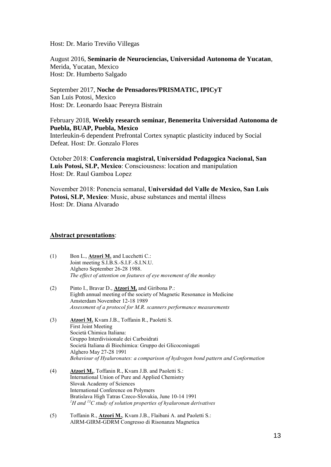Host: Dr. Mario Treviño Villegas

August 2016, **Seminario de Neurociencias, Universidad Autonoma de Yucatan**, Merida, Yucatan, Mexico Host: Dr. Humberto Salgado

September 2017, **Noche de Pensadores/PRISMATIC, IPICyT** San Luis Potosi, Mexico Host: Dr. Leonardo Isaac Pereyra Bistrain

### February 2018, **Weekly research seminar, Benemerita Universidad Autonoma de Puebla, BUAP, Puebla, Mexico**

Interleukin-6 dependent Prefrontal Cortex synaptic plasticity induced by Social Defeat. Host: Dr. Gonzalo Flores

October 2018: **Conferencia magistral, Universidad Pedagogica Nacional, San Luis Potosi, SLP, Mexico**: Consciousness: location and manipulation Host: Dr. Raul Gamboa Lopez

November 2018: Ponencia semanal, **Universidad del Valle de Mexico, San Luis Potosi, SLP, Mexico**: Music, abuse substances and mental illness Host: Dr. Diana Alvarado

#### **Abstract presentations**:

- (1) Bon L., **Atzori M.** and Lucchetti C.: Joint meeting S.I.B.S.-S.I.F.-S.I.N.U. Alghero September 26-28 1988. *The effect of attention on features of eye movement of the monkey*
- (2) Pinto I., Bravar D., **Atzori M.** and Giribona P.: Eighth annual meeting of the society of Magnetic Resonance in Medicine Amsterdam November 12-18 1989 *Assessment of a protocol for M.R. scanners performance measurements*
- (3) **Atzori M.** Kvam J.B., Toffanin R., Paoletti S. First Joint Meeting Società Chimica Italiana: Gruppo Interdivisionale dei Carboidrati Società Italiana di Biochimica: Gruppo dei Glicoconiugati Alghero May 27-28 1991 *Behaviour of Hyaluronates: a comparison of hydrogen bond pattern and Conformation*
- (4) **Atzori M.**, Toffanin R., Kvam J.B. and Paoletti S.: International Union of Pure and Applied Chemistry Slovak Academy of Sciences International Conference on Polymers Bratislava High Tatras Czeco-Slovakia, June 10-14 1991 *<sup>1</sup>H and <sup>13</sup>C study of solution properties of hyaluronan derivatives*
- (5) Toffanin R., **Atzori M.**, Kvam J.B., Flaibani A. and Paoletti S.: AIRM-GIRM-GDRM Congresso di Risonanza Magnetica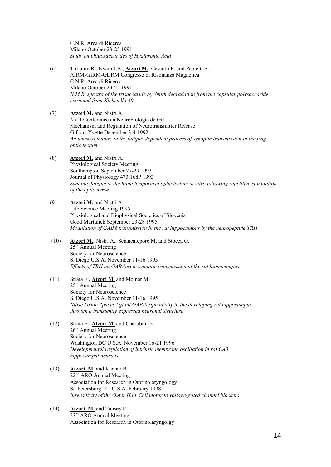C.N.R. Area di Ricerca Milano October 23-25 1991 *Study on Oligosaccarides of Hyaluronic Acid*

- (6) Toffanin R., Kvam J.B., **Atzori M.**, Cescutti P. and Paoletti S.: AIRM-GIRM-GDRM Congresso di Risonanza Magnetica C.N.R. Area di Ricerca Milano October 23-25 1991 *N.M.R. spectra of the trisaccaride by Smith degradation from the capsular polysaccaride extracted from Klebsiella 40*
- (7) **Atzori M.** and Nistri A.: XVII Conférence en Neurobiologie de Gif Mechanism and Regulation of Neurotransmitter Release Gif-sur-Yvette December 3-4 1992 *An unusual feature in the fatigue-dependent process of synaptic transmission in the frog optic tectum*
- (8) **Atzori M.** and Nistri A.: Physiological Society Meeting Southampton September 27-29 1993 Journal of Physiology 473,168P 1993 *Synaptic fatigue in the Rana temporaria optic tectum in vitro following repetitive stimulation of the optic nerve*
- (9) **Atzori M.** and Nistri A. Life Science Meeting 1995 Physiological and Biophysical Societies of Slovenia Gozd Martuliek September 23-28 1995 *Modulation of GABA transmission in the rat hippocampus by the neuropeptide TRH*
- (10) **Atzori M.**, Nistri A., Sciancalepore M. and Stocca G. 25<sup>th</sup> Annual Meeting Society for Neuroscience S. Diego U.S.A. November 11-16 1995 *Effects of TRH on GABAergic synaptic transmission of the rat hippocampus*
- (11) Strata F., **Atzori M.** and Molnar M. 25th Annual Meeting Society for Neuroscience S. Diego U.S.A. November 11-16 1995 *Nitric Oxide "paces" giant GABAergic ativity in the developing rat hippocampus through a transiently expressed neuronal structure*
- (12) Strata F., **Atzori M.** and Cherubini E.  $26<sup>th</sup>$  Annual Meeting Society for Neuroscience Washington DC U.S.A. November 16-21 1996 *Developmental regulation of intrinsic membrane oscillation in rat CA3 hippocampal neurons*
- (13) **Atzori, M.** and Kachar B. 22nd ARO Annual Meeting Association for Research in Otorinolaryngology St. Petersburg, FL U.S.A. February 1998 *Insensitivity of the Outer Hair Cell motor to voltage-gated channel blockers*
- (14) **Atzori**, **M**. and Tansey E. 23rd ARO Annual Meeting Association for Research in Otorinolaryngolgy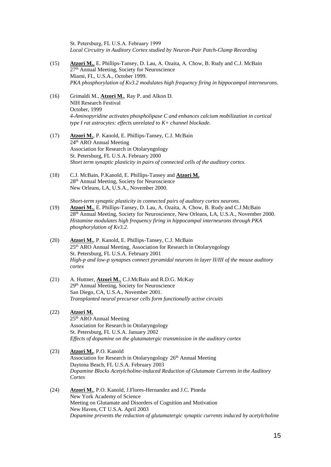St. Petersburg, FL U.S.A. February 1999 *Local Circuitry in Auditory Cortex studied by Neuron-Pair Patch-Clamp Recording*

- (15) **Atzori M.**, E. Phillips-Tansey, D. Lau, A. Ozaita, A. Chow, B. Rudy and C.J. McBain 27th Annual Meeting, Society for Neuroscience Miami, FL, U.S.A., October 1999. *PKA phosphorylation of Kv3.2 modulates high frequency firing in hippocampal interneurons.*
- (16) Grimaldi M., **Atzori M.**, Ray P. and Alkon D. NIH Research Festival October, 1999 *4-Aminopyridine activates phospholipase C and enhances calcium mobilization in cortical type I rat astrocytes: effects unrelated to K+ channel blockade.*
- (17) **Atzori M.**, P. Kanold, E. Phillips-Tansey, C.J. McBain 24<sup>th</sup> ARO Annual Meeting Association for Research in Otolaryngology St. Petersburg, FL U.S.A. February 2000 *Short term synaptic plasticity in pairs of connected cells of the auditory cortex.*
- (18) C.J. McBain, P.Kanold, E. Phillips-Tansey and **Atzori M.** 28th Annual Meeting, Society for Neuroscience New Orleans, LA, U.S.A., November 2000.

*Short-term synaptic plasticity in connected pairs of auditory cortex neurons.*

- (19) **Atzori M.**, E. Phillips-Tansey, D. Lau, A. Ozaita, A. Chow, B. Rudy and C.J.McBain 28th Annual Meeting, Society for Neuroscience, New Orleans, LA, U.S.A., November 2000. *Histamine modulates high frequency firing in hippocampal interneurons through PKA phosphorylation of Kv3.2.*
- (20) **Atzori M.**, P. Kanold, E. Phillips-Tansey, C.J. McBain 25th ARO Annual Meeting, Association for Research in Otolaryngology St. Petersburg, FL U.S.A. February 2001 *High-p and low-p synapses connect pyramidal neurons in layer II/III of the mouse auditory cortex*
- (21) A. Huttner, **Atzori M.**, C.J.McBain and R.D.G. McKay 29th Annual Meeting, Society for Neuroscience San Diego, CA, U.S.A., November 2001. *Transplanted neural precursor cells form functionally active circuits*
- (22) **Atzori M.** 25th ARO Annual Meeting Association for Research in Otolaryngology St. Petersburg, FL U.S.A. January 2002 *Effects of dopamine on the glutamatergic transmission in the auditory cortex*
- (23) **Atzori M.**, P.O. Kanold Association for Research in Otolaryngology 26<sup>th</sup> Annual Meeting Daytona Beach, FL U.S.A. February 2003 *Dopamine Blocks Acetylcholine-induced Reduction of Glutamate Currents in the Auditory Cortex*
- (24) **Atzori M.**, P.O. Kanold, J.Flores-Hernandez and J.C. Pineda New York Academy of Science Meeting on Glutamate and Disorders of Cognition and Motivation New Haven, CT U.S.A. April 2003 *Dopamine prevents the reduction of glutamatergic synaptic currents induced by acetylcholine*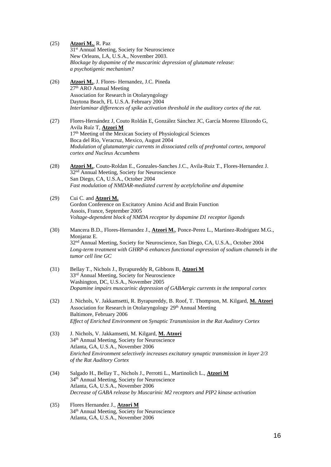(25) **Atzori M.**, R. Paz 31st Annual Meeting, Society for Neuroscience New Orleans, LA, U.S.A., November 2003. *Blockage by dopamine of the muscarinic depression of glutamate release: a psychotigenic mechanism?* (26) **Atzori M.**, J. Flores- Hernandez, J.C. Pineda 27<sup>th</sup> ARO Annual Meeting Association for Research in Otolaryngology Daytona Beach, FL U.S.A. February 2004 *Interlaminar differences of spike activation threshold in the auditory cortex of the rat.* (27) Flores-Hernández J, Couto Roldán E, González Sánchez JC, García Moreno Elizondo G, Avila Ruíz T, **Atzori M** 17th Meeting of the Mexican Society of Physiological Sciences Boca del Rio, Veracruz, Mexico, August 2004 *Modulation of glutamatergic currents in dissociated cells of prefrontal cortex, temporal cortex and Nucleus Accumbens* (28) **Atzori M.**, Couto-Roldan E., Gonzales-Sanches J.C., Avila-Ruiz T., Flores-Hernandez J. 32nd Annual Meeting, Society for Neuroscience San Diego, CA, U.S.A., October 2004 *Fast modulation of NMDAR-mediated current by acetylcholine and dopamine* (29) Cui C. and **Atzori M.** Gordon Conference on Excitatory Amino Acid and Brain Function Assois, France, September 2005 *Voltage-dependent block of NMDA receptor by dopamine D1 receptor ligands* (30) Mancera B.D., Flores-Hernandez J., **Atzori M.**, Ponce-Perez L., Martinez-Rodriguez M.G., Monjaraz E. 32nd Annual Meeting, Society for Neuroscience, San Diego, CA, U.S.A., October 2004 *Long-term treatment with GHRP-6 enhances functional expression of sodium channels in the tumor cell line GC* (31) Bellay T., Nichols J., Byrapureddy R, Gibbons B, **Atzori M** 33rd Annual Meeting, Society for Neuroscience Washington, DC, U.S.A., November 2005 *Dopamine impairs muscarinic depression of GABAergic currents in the temporal cortex* (32) J. Nichols, V. Jakkamsetti, R. Byrapureddy, B. Roof, T. Thompson, M. Kilgard, **M. Atzori** Association for Research in Otolaryngology 29th Annual Meeting Baltimore, February 2006 *Effect of Enriched Environment on Synaptic Transmission in the Rat Auditory Cortex* (33) J. Nichols, V. Jakkamsetti, M. Kilgard, **M. Atzori** 34th Annual Meeting, Society for Neuroscience Atlanta, GA, U.S.A., November 2006 *Enriched Environment selectively increases excitatory synaptic transmission in layer 2/3 of the Rat Auditory Cortex* (34) Salgado H., Bellay T., Nichols J., Perrotti L., Martinolich L., **Atzori M** 34th Annual Meeting, Society for Neuroscience Atlanta, GA, U.S.A., November 2006 *Decrease of GABA release by Muscarinic M2 receptors and PIP2 kinase activation* (35) Flores Hernandez J., **Atzori M** 34th Annual Meeting, Society for Neuroscience Atlanta, GA, U.S.A., November 2006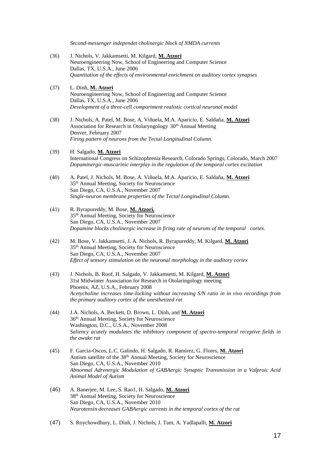*Second-messenger independet cholinergic block of NMDA currents*

- (36) J. Nichols, V. Jakkamsetti, M. Kilgard, **M. Atzori** Neuroengineering Now, School of Engineering and Computer Science Dallas, TX, U.S.A., June 2006 *Quantitation of the effects of environmental enrichment on auditory cortex synapses*
- (37) L. Dinh, **M. Atzori** Neuroengineering Now, School of Engineering and Computer Science Dallas, TX, U.S.A., June 2006 *Development of a three-cell compartment realistic cortical neuronal model*
- (38) J. Nichols, A. Patel, M. Bose, A. Viñuela, M.A. Aparicio, E. Saldaña, **M. Atzori** Association for Research in Otolaryngology 30<sup>th</sup> Annual Meeting Denver, February 2007 *Firing pattern of neurons from the Tectal Longitudinal Column.*
- (39) H. Salgado, **M. Atzori** International Congress on Schizophrenia Research, Colorado Springs, Colorado, March 2007 *Dopaminergic-muscarinic interplay in the regulation of the temporal cortex excitation*
- (40) A. Patel, J. Nichols, M. Bose, A. Viñuela, M.A. Aparicio, E. Saldaña, **M. Atzori** 35th Annual Meeting, Society for Neuroscience San Diego, CA, U.S.A., November 2007 *Single-neuron membrane properties of the Tectal Longitudinal Column.*
- (41) R. Byrapureddy, M. Bose, **M. Atzori.** 35th Annual Meeting, Society for Neuroscience San Diego, CA, U.S.A., November 2007 *Dopamine blocks cholinergic increase in firing rate of neurons of the temporal cortex.*
- (42) M. Bose, V. Jakkamsetti, J. A. Nichols, R. Byrapureddy, M. Kilgard, **M. Atzori** 35th Annual Meeting, Society for Neuroscience San Diego, CA, U.S.A., November 2007 *Effect of sensory stimulation on the neuronal morphology in the auditory cortex*
- (43) J. Nichols, B. Roof, H. Salgado, V. Jakkamsetti, M. Kilgard, **M. Atzori** 31st Midwinter Association for Research in Otolaringology meeting Phoenix, AZ, U.S.A., February 2008 *Acetycholine increases time-locking without increasing S/N ratio in in vivo recordings from the primary auditory cortex of the anesthetized rat*
- (44) J.A. Nichols, A. Beckett, D. Brown, L. Dinh, and **M. Atzori** 36 th Annual Meeting, Society for Neuroscience Washington, D.C., U.S.A., November 2008 *Saliency acutely modulates the inhibitory component of spectro-temporal receptive fields in the awake rat*
- (45) F. Garcia-Oscos, L.C. Galindo, H. Salgado, R. Ramirez, G. Flores, **M. Atzori** Autism satellite of the 38th Annual Meeting, Society for Neuroscience San Diego, CA, U.S.A., November 2010 *Abnormal Adrenergic Modulation of GABAergic Synaptic Transmission in a Valproic Acid Animal Model of Autism*
- (46) A. Banerjee, M. Lee, S. Rao1, H. Salgado, **M. Atzori** 38th Annual Meeting, Society for Neuroscience San Diego, CA, U.S.A., November 2010 *Neurotensin decreases GABAergic currents in the temporal cortex of the rat*

(47) S. Roychowdhury, L. Dinh, J. Nichols, J. Tam, A. Yadlapalli, **M. Atzori**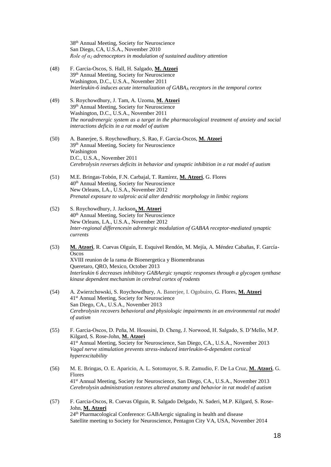38 th Annual Meeting, Society for Neuroscience San Diego, CA, U.S.A., November 2010 *Role of α<sup>2</sup> adrenoceptors in modulation of sustained auditory attention*

- (48) F. Garcia-Oscos, S. Hall, H. Salgado, **M. Atzori** 39 th Annual Meeting, Society for Neuroscience Washington, D.C., U.S.A., November 2011 *Interleukin-6 induces acute internalization of GABA<sup>A</sup> receptors in the temporal cortex*
- (49) S. Roychowdhury, J. Tam, A. Uzoma, **M. Atzori** 39 th Annual Meeting, Society for Neuroscience Washington, D.C., U.S.A., November 2011 *The noradrenergic system as a target in the pharmacological treatment of anxiety and social interactions deficits in a rat model of autism*
- (50) A. Banerjee, S. Roychowdhury, S. Rao, F. Garcia-Oscos, **M. Atzori** 39 th Annual Meeting, Society for Neuroscience Washington D.C., U.S.A., November 2011 *Cerebrolysin reverses deficits in behavior and synaptic inhibition in a rat model of autism*
- (51) M.E. Bringas-Tobón, F.N. Carbajal, T. Ramírez, **M. Atzori**, G. Flores 40th Annual Meeting, Society for Neuroscience New Orleans, LA., U.S.A., November 2012 *Prenatal exposure to valproic acid alter dendritic morphology in limbic regions*
- (52) S. Roychowdhury, J. Jackson**, M. Atzori** 40th Annual Meeting, Society for Neuroscience New Orleans, LA., U.S.A., November 2012 *Inter-regional differencesin adrenergic modulation of GABAA receptor-mediated synaptic currents*
- (53) **M. Atzori**, R. Cuevas Olguín, E. Esquivel Rendón, M. Mejía, A. Méndez Cabañas, F. García-**Oscos** XVIII reunion de la rama de Bioenergetica y Biomembranas Queretaro, QRO, Mexico, October 2013 *Interleukin 6 decreases inhibitory GABAergic synaptic responses through a glycogen synthase kinase dependent mechanism in cerebral cortex of rodents*
- (54) A. Zwierzchowski, S. Roychowdhury, A. Banerjee, I. Ogobuiro, G. Flores, **M. Atzori** 41st Annual Meeting, Society for Neuroscience San Diego, CA., U.S.A., November 2013 *Cerebrolysin recovers behavioral and physiologic impairments in an environmental rat model of autism*
- (55) F. Garcia-Oscos, D. Peña, M. Houssini, D. Cheng, J. Norwood, H. Salgado, S. D'Mello, M.P. Kilgard, S. Rose-John, **M. Atzori** 41st Annual Meeting, Society for Neuroscience, San Diego, CA., U.S.A., November 2013 *Vagal nerve stimulation prevents stress-induced interleukin-6-dependent cortical hyperexcitability*
- (56) M. E. Bringas, O. E. Aparicio, A. L. Sotomayor, S. R. Zamudio, F. De La Cruz, **M. Atzori**, G. Flores 41st Annual Meeting, Society for Neuroscience, San Diego, CA., U.S.A., November 2013 *[Cerebrolysin administration restores altered anatomy and behavior in rat model of autism](http://www.abstractsonline.com/Plan/ViewAbstract.aspx?sKey=bb5825e5-4ef3-48c8-8908-e9e3672ad6ae&cKey=32e8e794-6d50-4635-a0e7-7c7703155f77&mKey=%7b8D2A5BEC-4825-4CD6-9439-B42BB151D1CF%7d)*
- (57) F. Garcia-Oscos, R. Cuevas Olguin, R. Salgado Delgado, N. Saderi, M.P. Kilgard, S. Rose-John, **M. Atzori** 24th Pharmacological Conference: GABAergic signaling in health and disease Satellite meeting to Society for Neuroscience, Pentagon City VA, USA, November 2014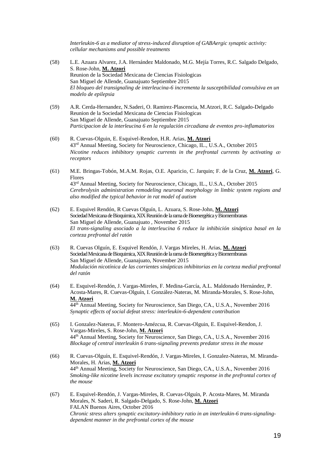*Interleukin-6 as a mediator of stress-induced disruption of GABAergic synaptic activity: cellular mechanisms and possible treatments*

- (58) L.E. Azuara Alvarez, J.A. Hernández Maldonado, M.G. Mejía Torres, R.C. Salgado Delgado, S. Rose-John, **M. Atzori** Reunion de la Sociedad Mexicana de Ciencias Fisiologicas San Miguel de Allende, Guanajuato Septiembre 2015 *El bloqueo del transignaling de interleucina-6 incrementa la susceptibilidad convulsiva en un modelo de epilepsia*
- (59) A.R. Cerda-Hernandez, N.Saderi, O. Ramirez-Plascencia, M.Atzori, R.C. Salgado-Delgado Reunion de la Sociedad Mexicana de Ciencias Fisiologicas San Miguel de Allende, Guanajuato Septiembre 2015 *Participacion de la interleucina 6 en la regulación circadiana de eventos pro-inflamatorios*
- (60) R. Cuevas-Olguin, E. Esquivel-Rendon, H.R. Arias, **M. Atzori** 43<sup>rd</sup> Annual Meeting, Society for Neuroscience, Chicago, IL., U.S.A., October 2015 *Nicotine reduces inhibitory synaptic currents in the prefrontal currents by activating*  $\alpha$ *<sub>7</sub> receptors*
- (61) M.E. Bringas-Tobón, M.A.M. Rojas, O.E. Aparicio, C. Jarquin; F. de la Cruz, **M. Atzori**, G. Flores 43<sup>rd</sup> Annual Meeting, Society for Neuroscience, Chicago, IL., U.S.A., October 2015 *Cerebrolysin administration remodeling neuronal morphology in limbic system regions and also modified the typical behavior in rat model of autism*
- (62) E. Esquivel Rendón, R Cuevas Olguín, L. Azuara, S. Rose-John, **M. Atzori** Sociedad Mexicana de Bioquimica, XIX Reunión de la rama de Bioenergética y Biomembranas San Miguel de Allende, Guanajuato , November 2015 *El trans-signaling asociado a la interleucina 6 reduce la inhibición sináptica basal en la corteza prefrontal del ratón*
- (63) R. Cuevas Olguín, E. Esquivel Rendón, J. Vargas Mireles, H. Arias, **M. Atzori** Sociedad Mexicana de Bioquimica, XIX Reunión de la rama de Bioenergética y Biomembranas San Miguel de Allende, Guanajuato, November 2015 *Modulación nicotínica de las corrientes sinápticas inhibitorias en la corteza medial prefrontal del ratón*
- (64) E. Esquivel-Rendón, J. Vargas-Mireles, F. Medina-García, A.L. Maldonado Hernández, P. Acosta-Mares, R. Cuevas-Olguín, I. González-Nateras, M. Miranda-Morales, S. Rose-John, **M. Atzori** 44th Annual Meeting, Society for Neuroscience, San Diego, CA., U.S.A., November 2016 *Synaptic effects of social defeat stress: interleukin-6-dependent contribution*
- (65) I. Gonzalez-Nateras, F. Montero-Amézcua, R. Cuevas-Olguin, E. Esquivel-Rendon, J. Vargas-Mireles, S. Rose-John, **M. Atzori** 44th Annual Meeting, Society for Neuroscience, San Diego, CA., U.S.A., November 2016 *Blockage of central interleukin 6 trans-signaling prevents predator stress in the mouse*
- (66) R. Cuevas-Olguín, E. Esquivel-Rendón, J. Vargas-Mireles, I. Gonzalez-Nateras, M. Miranda-Morales, H. Arias, **M. Atzori** 44th Annual Meeting, Society for Neuroscience, San Diego, CA., U.S.A., November 2016 *Smoking-like nicotine levels increase excitatory synaptic response in the prefrontal cortex of the mouse*
- (67) E. Esquivel-Rendón, J. Vargas-Mireles, R. Cuevas-Olguín, P. Acosta-Mares, M. Miranda Morales, N. Saderi, R. Salgado-Delgado, S. Rose-John, **M. Atzori** FALAN Buenos Aires, October 2016 *Chronic stress alters synaptic excitatory-inhibitory ratio in an interleukin-6 trans-signalingdependent manner in the prefrontal cortex of the mouse*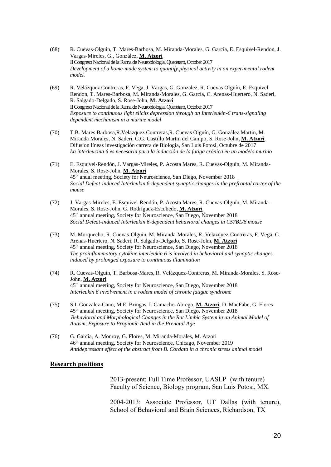- (68) R. Cuevas-Olguin, T. Mares-Barbosa, M. Miranda-Morales, G. Garcia, E. Esquivel-Rendon, J. Vargas-Mireles, G., González, **M. Atzori** II Congreso Nacional de la Rama de Neurobiología, Queretaro, October 2017 *Development of a home-made system to quantify physical activity in an experimental rodent model.*
- (69) R. Velázquez Contreras, F. Vega, J. Vargas, G. Gonzalez, R. Cuevas Olguín, E. Esquivel Rendon, T. Mares-Barbosa, M. Miranda-Morales, G. García, C. Arenas-Huertero, N. Saderi, R. Salgado-Delgado, S. Rose-John, **M. Atzori** II Congreso Nacional de la Rama de Neurobiología, Queretaro, October 2017 *Exposure to continuous light elicits depression through an Interleukin-6 trans-signaling dependent mechanism in a murine model*
- (70) T.B. Mares Barbosa,R.Velazquez Contreras,R. Cuevas Olguín, G. González Martin, M. Miranda Morales, N. Saderi, C.G. Castillo Martin del Campo, S. Rose-John**, M. Atzori**. Difusion líneas investigación carrera de Biologia, San Luis Potosi, Octubre de 2017 *La interleucina 6 es necesaria para la inducción de la fatiga crónica en un modelo murino*
- (71) E. Esquivel-Rendón, J. Vargas-Mireles, P. Acosta Mares, R. Cuevas-Olguín, M. Miranda-Morales, S. Rose-John, **M. Atzori** 45th anual meeting, Society for Neuroscience, San Diego, November 2018 *Social Defeat-induced Interleukin 6-dependent synaptic changes in the prefrontal cortex of the mouse*
- (72) J. Vargas-Mireles, E. Esquivel-Rendón, P. Acosta Mares, R. Cuevas-Olguín, M. Miranda-Morales, S. Rose-John, G. Rodríguez-Escobedo, **M. Atzori** 45th annual meeting, Society for Neuroscience, San Diego, November 2018 *Social Defeat-induced Interleukin 6-dependent behavioral changes in C57BL/6 mouse*
- (73) M. Morquecho, R. Cuevas-Olguin, M. Miranda-Morales, R. Velazquez-Contreras, F. Vega, C. Arenas-Huertero, N. Saderi, R. Salgado-Delgado, S. Rose-John, **M. Atzori** 45th annual meeting, Society for Neuroscience, San Diego, November 2018 *The proinflammatory cytokine interleukin 6 is involved in behavioral and synaptic changes induced by prolonged exposure to continuous illumination*
- (74) R. Cuevas-Olguín, T. Barbosa-Mares, R. Velázquez-Contreras, M. Miranda-Morales, S. Rose-John, **M. Atzori** 45th annual meeting, Society for Neuroscience, San Diego, November 2018 *Interleukin 6 involvement in a rodent model of chronic fatigue syndrome*
- (75) S.I. Gonzalez-Cano, M.E. Bringas, I. Camacho-Abrego, **M. Atzori**, D. MacFabe, G. Flores 45th annual meeting, Society for Neuroscience, San Diego, November 2018 *Behavioral and Morphological Changes in the Rat Limbic System in an Animal Model of Autism, Exposure to Propionic Acid in the Prenatal Age*
- (76) G. García, A. Monroy, G. Flores, M. Miranda-Morales, M. Atzori 46 th annual meeting, Society for Neuroscience, Chicago, November 2019 *Antidepressant effect of the abstract from B. Cordata in a chronic stress animal model*

#### **Research positions**

2013-present: Full Time Professor, UASLP (with tenure) Faculty of Science, Biology program, San Luis Potosi, MX.

2004-2013: Associate Professor, UT Dallas (with tenure), School of Behavioral and Brain Sciences, Richardson, TX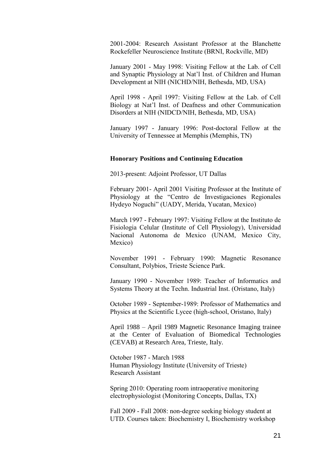2001-2004: Research Assistant Professor at the Blanchette Rockefeller Neuroscience Institute (BRNI, Rockville, MD)

January 2001 - May 1998: Visiting Fellow at the Lab. of Cell and Synaptic Physiology at Nat'l Inst. of Children and Human Development at NIH (NICHD/NIH, Bethesda, MD, USA)

April 1998 - April 1997: Visiting Fellow at the Lab. of Cell Biology at Nat'l Inst. of Deafness and other Communication Disorders at NIH (NIDCD/NIH, Bethesda, MD, USA)

January 1997 - January 1996: Post-doctoral Fellow at the University of Tennessee at Memphis (Memphis, TN)

#### **Honorary Positions and Continuing Education**

2013-present: Adjoint Professor, UT Dallas

February 2001- April 2001 Visiting Professor at the Institute of Physiology at the "Centro de Investigaciones Regionales Hydeyo Noguchi" (UADY, Merida, Yucatan, Mexico)

March 1997 - February 1997: Visiting Fellow at the Instituto de Fisiologia Celular (Institute of Cell Physiology), Universidad Nacional Autonoma de Mexico (UNAM, Mexico City, Mexico)

November 1991 - February 1990: Magnetic Resonance Consultant, Polybios, Trieste Science Park.

January 1990 - November 1989: Teacher of Informatics and Systems Theory at the Techn. Industrial Inst. (Oristano, Italy)

October 1989 - September-1989: Professor of Mathematics and Physics at the Scientific Lycee (high-school, Oristano, Italy)

April 1988 – April 1989 Magnetic Resonance Imaging trainee at the Center of Evaluation of Biomedical Technologies (CEVAB) at Research Area, Trieste, Italy.

October 1987 - March 1988 Human Physiology Institute (University of Trieste) Research Assistant

Spring 2010: Operating room intraoperative monitoring electrophysiologist (Monitoring Concepts, Dallas, TX)

Fall 2009 - Fall 2008: non-degree seeking biology student at UTD. Courses taken: Biochemistry I, Biochemistry workshop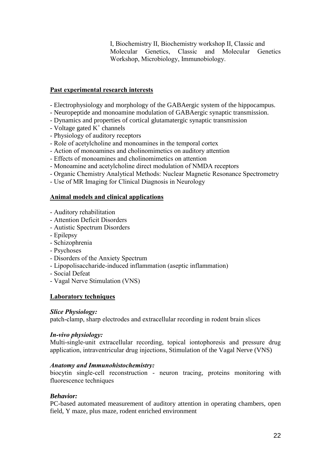I, Biochemistry II, Biochemistry workshop II, Classic and Molecular Genetics, Classic and Molecular Genetics Workshop, Microbiology, Immunobiology.

# **Past experimental research interests**

- Electrophysiology and morphology of the GABAergic system of the hippocampus.
- Neuropeptide and monoamine modulation of GABAergic synaptic transmission.
- Dynamics and properties of cortical glutamatergic synaptic transmission
- Voltage gated  $K^+$  channels
- Physiology of auditory receptors
- Role of acetylcholine and monoamines in the temporal cortex
- Action of monoamines and cholinomimetics on auditory attention
- Effects of monoamines and cholinomimetics on attention
- Monoamine and acetylcholine direct modulation of NMDA receptors
- Organic Chemistry Analytical Methods: Nuclear Magnetic Resonance Spectrometry
- Use of MR Imaging for Clinical Diagnosis in Neurology

## **Animal models and clinical applications**

- Auditory rehabilitation
- Attention Deficit Disorders
- Autistic Spectrum Disorders
- Epilepsy
- Schizophrenia
- Psychoses
- Disorders of the Anxiety Spectrum
- Lipopolisaccharide-induced inflammation (aseptic inflammation)
- Social Defeat
- Vagal Nerve Stimulation (VNS)

### **Laboratory techniques**

### *Slice Physiology:*

patch-clamp, sharp electrodes and extracellular recording in rodent brain slices

### *In-vivo physiology:*

Multi-single-unit extracellular recording, topical iontophoresis and pressure drug application, intraventricular drug injections, Stimulation of the Vagal Nerve (VNS)

### *Anatomy and Immunohistochemistry:*

biocytin single-cell reconstruction - neuron tracing, proteins monitoring with fluorescence techniques

# *Behavior:*

PC-based automated measurement of auditory attention in operating chambers, open field, Y maze, plus maze, rodent enriched environment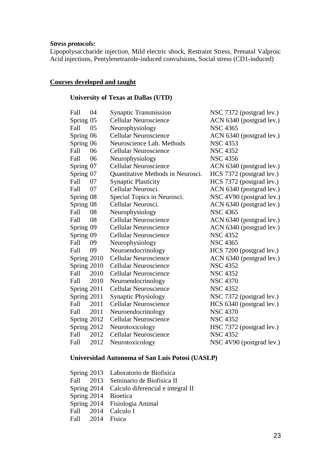#### *Stress protocols:*

Lipopolysaccharide injection, Mild electric shock, Restraint Stress, Prenatal Valproic Acid injections, Pentylenetrazole-induced convulsions, Social stress (CD1-induced)

# **Courses developed and taught**

# **University of Texas at Dallas (UTD)**

| 04          | <b>Synaptic Transmission</b>      | NSC 7372 (postgrad lev.) |
|-------------|-----------------------------------|--------------------------|
| Spring 05   | <b>Cellular Neuroscience</b>      | ACN 6340 (postgrad lev.) |
| 05          | Neurophysiology                   | <b>NSC 4365</b>          |
| Spring 06   | <b>Cellular Neuroscience</b>      | ACN 6340 (postgrad lev.) |
| Spring 06   | Neuroscience Lab. Methods         | <b>NSC 4353</b>          |
| 06          | <b>Cellular Neuroscience</b>      | <b>NSC 4352</b>          |
| 06          | Neurophysiology                   | <b>NSC 4356</b>          |
| Spring 07   | <b>Cellular Neuroscience</b>      | ACN 6340 (postgrad lev.) |
| Spring 07   | Quantitative Methods in Neurosci. | HCS 7372 (postgrad lev.) |
| 07          | <b>Synaptic Plasticity</b>        | HCS 7372 (postgrad lev.) |
| 07          | Cellular Neurosci.                | ACN 6340 (postgrad lev.) |
| Spring 08   | Special Topics in Neurosci.       | NSC 4V90 (postgrad lev.) |
| Spring 08   | Cellular Neurosci.                | ACN 6340 (postgrad lev.) |
| 08          | Neurophysiology                   | <b>NSC 4365</b>          |
| 08          | <b>Cellular Neuroscience</b>      | ACN 6340 (postgrad lev.) |
| Spring 09   | <b>Cellular Neuroscience</b>      | ACN 6340 (postgrad lev.) |
| Spring 09   | <b>Cellular Neuroscience</b>      | <b>NSC 4352</b>          |
| 09          | Neurophysiology                   | <b>NSC 4365</b>          |
| 09          | Neuroendocrinology                | HCS 7200 (postgrad lev.) |
| Spring 2010 | <b>Cellular Neuroscience</b>      | ACN 6340 (postgrad lev.) |
| Spring 2010 | <b>Cellular Neuroscience</b>      | <b>NSC 4352</b>          |
| 2010        | <b>Cellular Neuroscience</b>      | <b>NSC 4352</b>          |
| 2010        | Neuroendocrinology                | <b>NSC 4370</b>          |
| Spring 2011 | <b>Cellular Neuroscience</b>      | <b>NSC 4352</b>          |
| Spring 2011 | <b>Synaptic Physiology</b>        | NSC 7372 (postgrad lev.) |
| 2011        | <b>Cellular Neuroscience</b>      | HCS 6340 (postgrad lev.) |
| 2011        | Neuroendocrinology                | <b>NSC 4370</b>          |
| Spring 2012 | <b>Cellular Neuroscience</b>      | <b>NSC 4352</b>          |
| Spring 2012 |                                   | HSC 7372 (postgrad lev.) |
| 2012        | <b>Cellular Neuroscience</b>      | <b>NSC 4352</b>          |
| 2012        | Neurotoxicology                   | NSC 4V90 (postgrad lev.) |
|             |                                   | Neurotoxicology          |

# **Universidad Autonoma of San Luis Potosi (UASLP)**

|                  | Spring 2013 Laboratorio de Biofísica          |
|------------------|-----------------------------------------------|
|                  | Fall 2013 Seminario de Biofisica II           |
|                  | Spring 2014 Calculo diferencial e integral II |
|                  | Spring 2014 Bioetica                          |
|                  | Spring 2014 Fisiologia Animal                 |
|                  | Fall 2014 Calculo I                           |
| Fall 2014 Fisica |                                               |
|                  |                                               |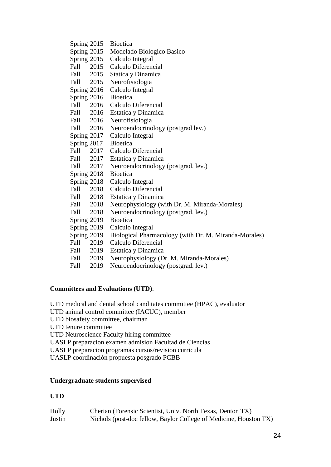| Spring $2015$ |           | <b>Bioetica</b>                                       |
|---------------|-----------|-------------------------------------------------------|
| Spring 2015   |           | Modelado Biologico Basico                             |
| Spring 2015   |           | Calculo Integral                                      |
| Fall 2015     |           | Calculo Diferencial                                   |
|               | Fall 2015 | Statica y Dinamica                                    |
| Fall 2015     |           | Neurofisiologia                                       |
| Spring 2016   |           | Calculo Integral                                      |
| Spring 2016   |           | <b>Bioetica</b>                                       |
| Fall          | 2016      | Calculo Diferencial                                   |
| Fall 2016     |           | Estatica y Dinamica                                   |
| Fall 2016     |           | Neurofisiologia                                       |
| Fall 2016     |           | Neuroendocrinology (postgrad lev.)                    |
| Spring 2017   |           | Calculo Integral                                      |
| Spring 2017   |           | <b>Bioetica</b>                                       |
| Fall          | 2017      | Calculo Diferencial                                   |
| Fall 2017     |           | Estatica y Dinamica                                   |
| Fall          | 2017      | Neuroendocrinology (postgrad. lev.)                   |
| Spring 2018   |           | <b>Bioetica</b>                                       |
| Spring 2018   |           | Calculo Integral                                      |
| Fall 2018     |           | Calculo Diferencial                                   |
| Fall 2018     |           | Estatica y Dinamica                                   |
| Fall 2018     |           | Neurophysiology (with Dr. M. Miranda-Morales)         |
| Fall          | 2018      | Neuroendocrinology (postgrad. lev.)                   |
| Spring 2019   |           | <b>Bioetica</b>                                       |
| Spring 2019   |           | Calculo Integral                                      |
| Spring 2019   |           | Biological Pharmacology (with Dr. M. Miranda-Morales) |
| Fall          | 2019      | Calculo Diferencial                                   |
| Fall 2019     |           | Estatica y Dinamica                                   |
| Fall          | 2019      | Neurophysiology (Dr. M. Miranda-Morales)              |
| Fall          | 2019      | Neuroendocrinology (postgrad. lev.)                   |

# **Committees and Evaluations (UTD)**:

UTD medical and dental school canditates committee (HPAC), evaluator UTD animal control committee (IACUC), member UTD biosafety committee, chairman UTD tenure committee UTD Neuroscience Faculty hiring committee UASLP preparacion examen admision Facultad de Ciencias UASLP preparacion programas cursos/revision curricula UASLP coordinación propuesta posgrado PCBB

# **Undergraduate students supervised**

### **UTD**

| Holly  | Cherian (Forensic Scientist, Univ. North Texas, Denton TX)        |
|--------|-------------------------------------------------------------------|
| Justin | Nichols (post-doc fellow, Baylor College of Medicine, Houston TX) |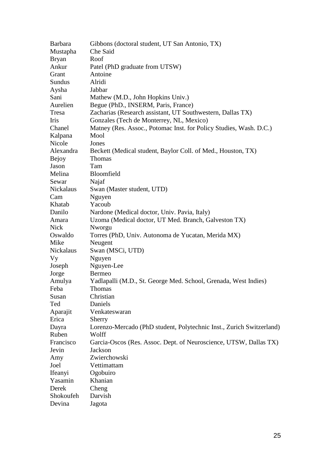| <b>Barbara</b> | Gibbons (doctoral student, UT San Antonio, TX)                       |
|----------------|----------------------------------------------------------------------|
| Mustapha       | Che Said                                                             |
| <b>Bryan</b>   | Roof                                                                 |
| Ankur          | Patel (PhD graduate from UTSW)                                       |
| Grant          | Antoine                                                              |
| Sundus         | Alridi                                                               |
| Aysha          | Jabbar                                                               |
| Sani           | Mathew (M.D., John Hopkins Univ.)                                    |
| Aurelien       | Begue (PhD., INSERM, Paris, France)                                  |
| Tresa          | Zacharias (Research assistant, UT Southwestern, Dallas TX)           |
| Iris           | Gonzales (Tech de Monterrey, NL, Mexico)                             |
| Chanel         | Matney (Res. Assoc., Potomac Inst. for Policy Studies, Wash. D.C.)   |
| Kalpana        | Mool                                                                 |
| Nicole         | Jones                                                                |
| Alexandra      | Beckett (Medical student, Baylor Coll. of Med., Houston, TX)         |
| Bejoy          | <b>Thomas</b>                                                        |
| Jason          | Tam                                                                  |
| Melina         | Bloomfield                                                           |
| Sewar          | Najaf                                                                |
| Nickalaus      | Swan (Master student, UTD)                                           |
| Cam            | Nguyen                                                               |
| Khatab         | Yacoub                                                               |
| Danilo         | Nardone (Medical doctor, Univ. Pavia, Italy)                         |
| Amara          | Uzoma (Medical doctor, UT Med. Branch, Galveston TX)                 |
| Nick           | Nworgu                                                               |
| Oswaldo        | Torres (PhD, Univ. Autonoma de Yucatan, Merida MX)                   |
| Mike           | Neugent                                                              |
| Nickalaus      | Swan (MSCi, UTD)                                                     |
| Vy             | Nguyen                                                               |
| Joseph         | Nguyen-Lee                                                           |
| Jorge          | <b>Bermeo</b>                                                        |
| Amulya         | Yadlapalli (M.D., St. George Med. School, Grenada, West Indies)      |
| Feba           | Thomas                                                               |
| Susan          | Christian                                                            |
| Ted            | Daniels                                                              |
| Aparajit       | Venkateswaran                                                        |
| Erica          | Sherry                                                               |
| Dayra          | Lorenzo-Mercado (PhD student, Polytechnic Inst., Zurich Switzerland) |
| Ruben          | Wolff                                                                |
| Francisco      | Garcia-Oscos (Res. Assoc. Dept. of Neuroscience, UTSW, Dallas TX)    |
| Jevin          | Jackson                                                              |
| Amy            | Zwierchowski                                                         |
| Joel           | Vettimattam                                                          |
| Ifeanyi        | Ogobuiro                                                             |
| Yasamin        | Khanian                                                              |
| Derek          | Cheng                                                                |
| Shokoufeh      | Darvish                                                              |
| Devina         | Jagota                                                               |
|                |                                                                      |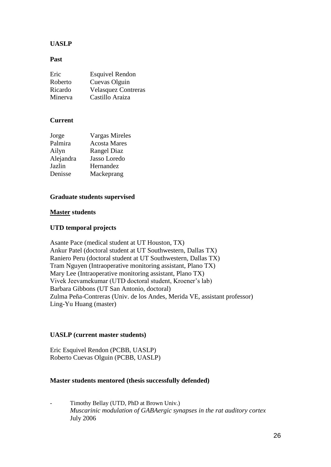# **UASLP**

#### **Past**

| Eric    | <b>Esquivel Rendon</b>     |
|---------|----------------------------|
| Roberto | Cuevas Olguin              |
| Ricardo | <b>Velasquez Contreras</b> |
| Minerva | Castillo Araiza            |

### **Current**

| Jorge     | <b>Vargas Mireles</b> |
|-----------|-----------------------|
| Palmira   | <b>Acosta Mares</b>   |
| Ailyn     | <b>Rangel Diaz</b>    |
| Alejandra | Jasso Loredo          |
| Jazlin    | Hernandez             |
| Denisse   | Mackeprang            |

### **Graduate students supervised**

#### **Master students**

### **UTD temporal projects**

Asante Pace (medical student at UT Houston, TX) Ankur Patel (doctoral student at UT Southwestern, Dallas TX) Raniero Peru (doctoral student at UT Southwestern, Dallas TX) Tram Nguyen (Intraoperative monitoring assistant, Plano TX) Mary Lee (Intraoperative monitoring assistant, Plano TX) Vivek Jeevamekumar (UTD doctoral student, Kroener's lab) Barbara Gibbons (UT San Antonio, doctoral) Zulma Peña-Contreras (Univ. de los Andes, Merida VE, assistant professor) Ling-Yu Huang (master)

### **UASLP (current master students)**

Eric Esquivel Rendon (PCBB, UASLP) Roberto Cuevas Olguin (PCBB, UASLP)

### **Master students mentored (thesis successfully defended)**

- Timothy Bellay (UTD, PhD at Brown Univ.) *Muscarinic modulation of GABAergic synapses in the rat auditory cortex* July 2006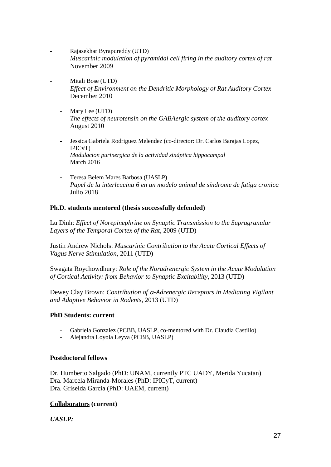- Rajasekhar Byrapureddy (UTD) *Muscarinic modulation of pyramidal cell firing in the auditory cortex of rat* November 2009
	- Mitali Bose (UTD) *Effect of Environment on the Dendritic Morphology of Rat Auditory Cortex* December 2010
		- Mary Lee (UTD) *The effects of neurotensin on the GABAergic system of the auditory cortex* August 2010
		- Jessica Gabriela Rodriguez Melendez (co-director: Dr. Carlos Barajas Lopez, IPICyT) *Modulacion purinergica de la actividad sináptica hippocampal* March 2016
		- Teresa Belem Mares Barbosa (UASLP) *Papel de la interleucina 6 en un modelo animal de síndrome de fatiga cronica* Julio 2018

## **Ph.D. students mentored (thesis successfully defended)**

Lu Dinh: *Effect of Norepinephrine on Synaptic Transmission to the Supragranular Layers of the Temporal Cortex of the Rat*, 2009 (UTD)

Justin Andrew Nichols: *Muscarinic Contribution to the Acute Cortical Effects of Vagus Nerve Stimulation*, 2011 (UTD)

Swagata Roychowdhury: *Role of the Noradrenergic System in the Acute Modulation of Cortical Activity: from Behavior to Synaptic Excitability*, 2013 (UTD)

Dewey Clay Brown: *Contribution of -Adrenergic Receptors in Mediating Vigilant and Adaptive Behavior in Rodents,* 2013 (UTD)

### **PhD Students: current**

- Gabriela Gonzalez (PCBB, UASLP, co-mentored with Dr. Claudia Castillo)
- Alejandra Loyola Leyva (PCBB, UASLP)

### **Postdoctoral fellows**

Dr. Humberto Salgado (PhD: UNAM, currently PTC UADY, Merida Yucatan) Dra. Marcela Miranda-Morales (PhD: IPICyT, current) Dra. Griselda Garcia (PhD: UAEM, current)

# **Collaborators (current)**

*UASLP:*